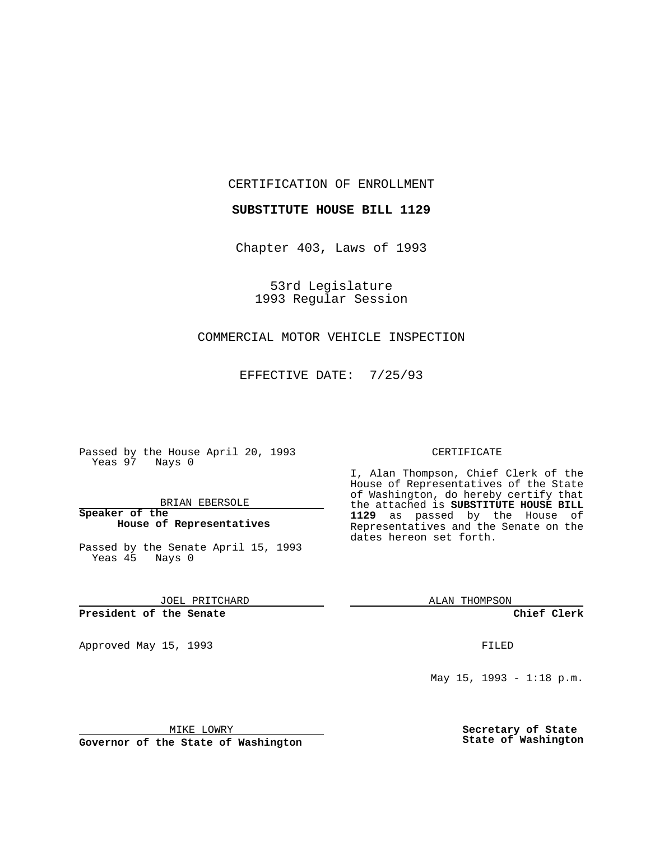CERTIFICATION OF ENROLLMENT

**SUBSTITUTE HOUSE BILL 1129**

Chapter 403, Laws of 1993

53rd Legislature 1993 Regular Session

#### COMMERCIAL MOTOR VEHICLE INSPECTION

EFFECTIVE DATE: 7/25/93

Passed by the House April 20, 1993 Yeas 97 Nays 0

BRIAN EBERSOLE

**Speaker of the House of Representatives**

Passed by the Senate April 15, 1993 Yeas 45 Nays 0

JOEL PRITCHARD

# **President of the Senate**

Approved May 15, 1993 **FILED** 

#### CERTIFICATE

I, Alan Thompson, Chief Clerk of the House of Representatives of the State of Washington, do hereby certify that the attached is **SUBSTITUTE HOUSE BILL 1129** as passed by the House of Representatives and the Senate on the dates hereon set forth.

ALAN THOMPSON

**Chief Clerk**

May  $15$ ,  $1993 - 1:18$  p.m.

MIKE LOWRY

**Governor of the State of Washington**

**Secretary of State State of Washington**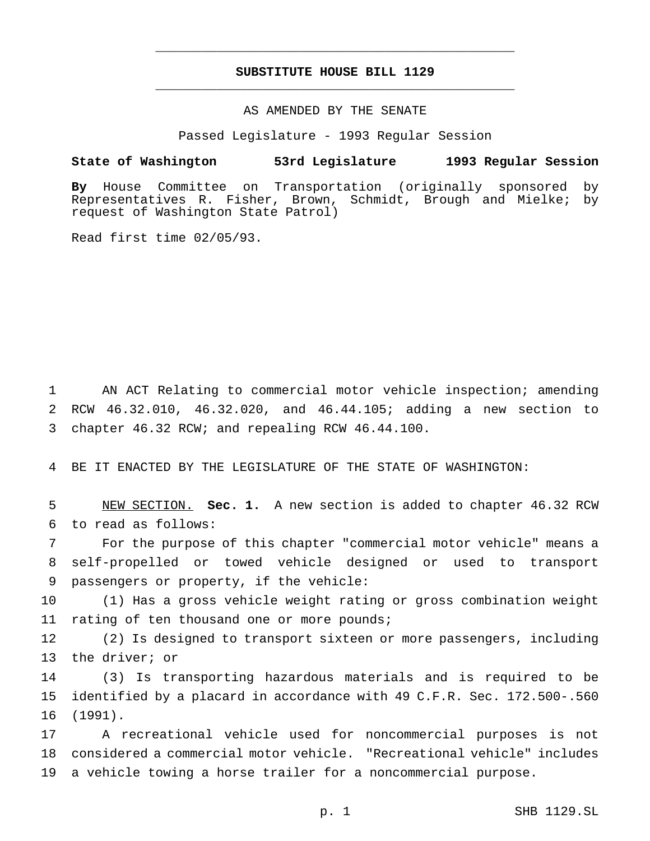## **SUBSTITUTE HOUSE BILL 1129** \_\_\_\_\_\_\_\_\_\_\_\_\_\_\_\_\_\_\_\_\_\_\_\_\_\_\_\_\_\_\_\_\_\_\_\_\_\_\_\_\_\_\_\_\_\_\_

\_\_\_\_\_\_\_\_\_\_\_\_\_\_\_\_\_\_\_\_\_\_\_\_\_\_\_\_\_\_\_\_\_\_\_\_\_\_\_\_\_\_\_\_\_\_\_

## AS AMENDED BY THE SENATE

Passed Legislature - 1993 Regular Session

#### **State of Washington 53rd Legislature 1993 Regular Session**

**By** House Committee on Transportation (originally sponsored by Representatives R. Fisher, Brown, Schmidt, Brough and Mielke; by request of Washington State Patrol)

Read first time 02/05/93.

1 AN ACT Relating to commercial motor vehicle inspection; amending 2 RCW 46.32.010, 46.32.020, and 46.44.105; adding a new section to 3 chapter 46.32 RCW; and repealing RCW 46.44.100.

4 BE IT ENACTED BY THE LEGISLATURE OF THE STATE OF WASHINGTON:

5 NEW SECTION. **Sec. 1.** A new section is added to chapter 46.32 RCW 6 to read as follows:

7 For the purpose of this chapter "commercial motor vehicle" means a 8 self-propelled or towed vehicle designed or used to transport 9 passengers or property, if the vehicle:

10 (1) Has a gross vehicle weight rating or gross combination weight 11 rating of ten thousand one or more pounds;

12 (2) Is designed to transport sixteen or more passengers, including 13 the driver; or

14 (3) Is transporting hazardous materials and is required to be 15 identified by a placard in accordance with 49 C.F.R. Sec. 172.500-.560 16 (1991).

17 A recreational vehicle used for noncommercial purposes is not 18 considered a commercial motor vehicle. "Recreational vehicle" includes 19 a vehicle towing a horse trailer for a noncommercial purpose.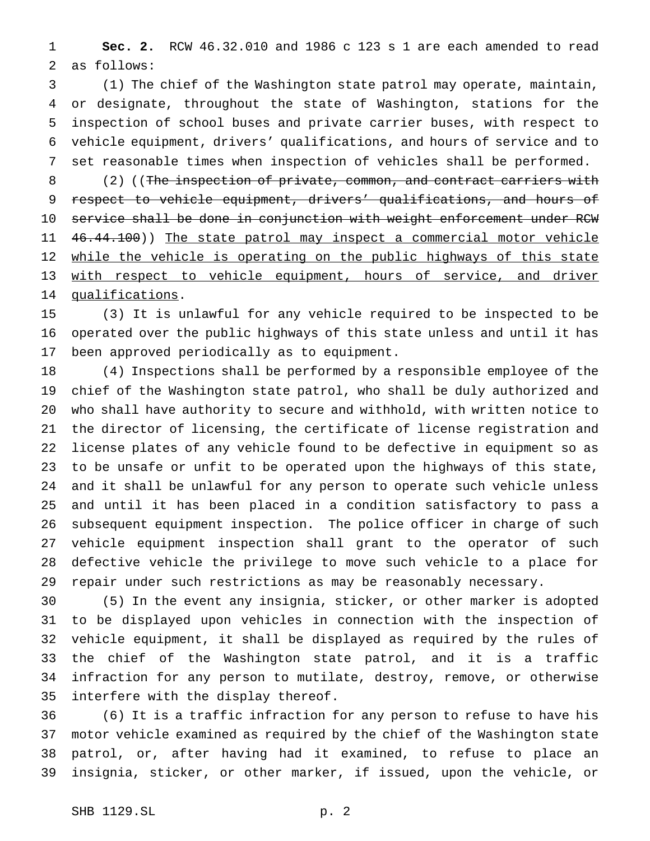**Sec. 2.** RCW 46.32.010 and 1986 c 123 s 1 are each amended to read as follows:

 (1) The chief of the Washington state patrol may operate, maintain, or designate, throughout the state of Washington, stations for the inspection of school buses and private carrier buses, with respect to vehicle equipment, drivers' qualifications, and hours of service and to set reasonable times when inspection of vehicles shall be performed.

8 (2) ((The inspection of private, common, and contract carriers with 9 respect to vehicle equipment, drivers' qualifications, and hours of service shall be done in conjunction with weight enforcement under RCW 11 46.44.100)) The state patrol may inspect a commercial motor vehicle 12 while the vehicle is operating on the public highways of this state 13 with respect to vehicle equipment, hours of service, and driver 14 qualifications.

 (3) It is unlawful for any vehicle required to be inspected to be operated over the public highways of this state unless and until it has been approved periodically as to equipment.

 (4) Inspections shall be performed by a responsible employee of the chief of the Washington state patrol, who shall be duly authorized and who shall have authority to secure and withhold, with written notice to the director of licensing, the certificate of license registration and license plates of any vehicle found to be defective in equipment so as to be unsafe or unfit to be operated upon the highways of this state, and it shall be unlawful for any person to operate such vehicle unless and until it has been placed in a condition satisfactory to pass a subsequent equipment inspection. The police officer in charge of such vehicle equipment inspection shall grant to the operator of such defective vehicle the privilege to move such vehicle to a place for repair under such restrictions as may be reasonably necessary.

 (5) In the event any insignia, sticker, or other marker is adopted to be displayed upon vehicles in connection with the inspection of vehicle equipment, it shall be displayed as required by the rules of the chief of the Washington state patrol, and it is a traffic infraction for any person to mutilate, destroy, remove, or otherwise interfere with the display thereof.

 (6) It is a traffic infraction for any person to refuse to have his motor vehicle examined as required by the chief of the Washington state patrol, or, after having had it examined, to refuse to place an insignia, sticker, or other marker, if issued, upon the vehicle, or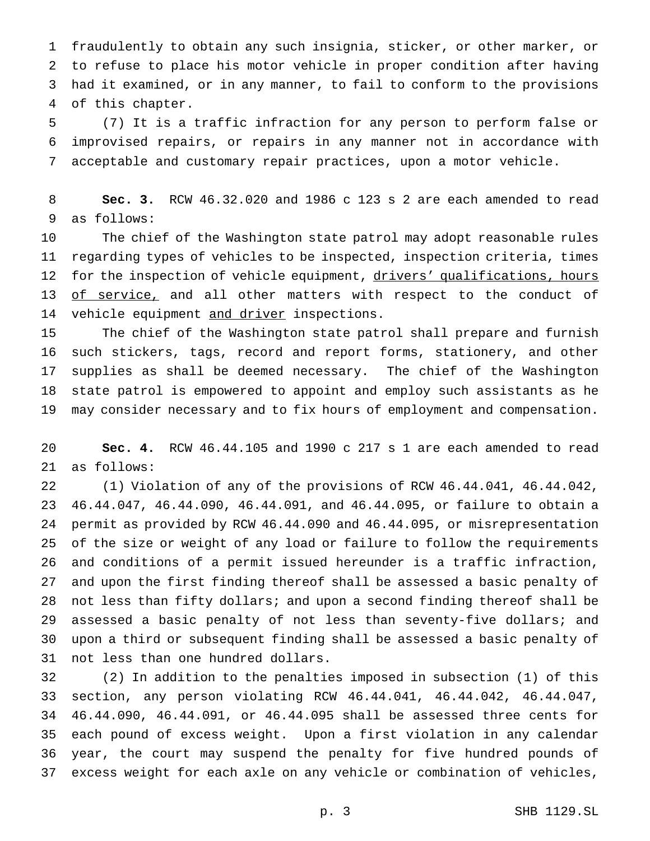fraudulently to obtain any such insignia, sticker, or other marker, or to refuse to place his motor vehicle in proper condition after having had it examined, or in any manner, to fail to conform to the provisions of this chapter.

 (7) It is a traffic infraction for any person to perform false or improvised repairs, or repairs in any manner not in accordance with acceptable and customary repair practices, upon a motor vehicle.

 **Sec. 3.** RCW 46.32.020 and 1986 c 123 s 2 are each amended to read as follows:

 The chief of the Washington state patrol may adopt reasonable rules regarding types of vehicles to be inspected, inspection criteria, times 12 for the inspection of vehicle equipment, drivers' qualifications, hours 13 of service, and all other matters with respect to the conduct of 14 vehicle equipment and driver inspections.

 The chief of the Washington state patrol shall prepare and furnish such stickers, tags, record and report forms, stationery, and other supplies as shall be deemed necessary. The chief of the Washington state patrol is empowered to appoint and employ such assistants as he may consider necessary and to fix hours of employment and compensation.

 **Sec. 4.** RCW 46.44.105 and 1990 c 217 s 1 are each amended to read as follows:

 (1) Violation of any of the provisions of RCW 46.44.041, 46.44.042, 46.44.047, 46.44.090, 46.44.091, and 46.44.095, or failure to obtain a permit as provided by RCW 46.44.090 and 46.44.095, or misrepresentation of the size or weight of any load or failure to follow the requirements and conditions of a permit issued hereunder is a traffic infraction, and upon the first finding thereof shall be assessed a basic penalty of not less than fifty dollars; and upon a second finding thereof shall be assessed a basic penalty of not less than seventy-five dollars; and upon a third or subsequent finding shall be assessed a basic penalty of not less than one hundred dollars.

 (2) In addition to the penalties imposed in subsection (1) of this section, any person violating RCW 46.44.041, 46.44.042, 46.44.047, 46.44.090, 46.44.091, or 46.44.095 shall be assessed three cents for each pound of excess weight. Upon a first violation in any calendar year, the court may suspend the penalty for five hundred pounds of excess weight for each axle on any vehicle or combination of vehicles,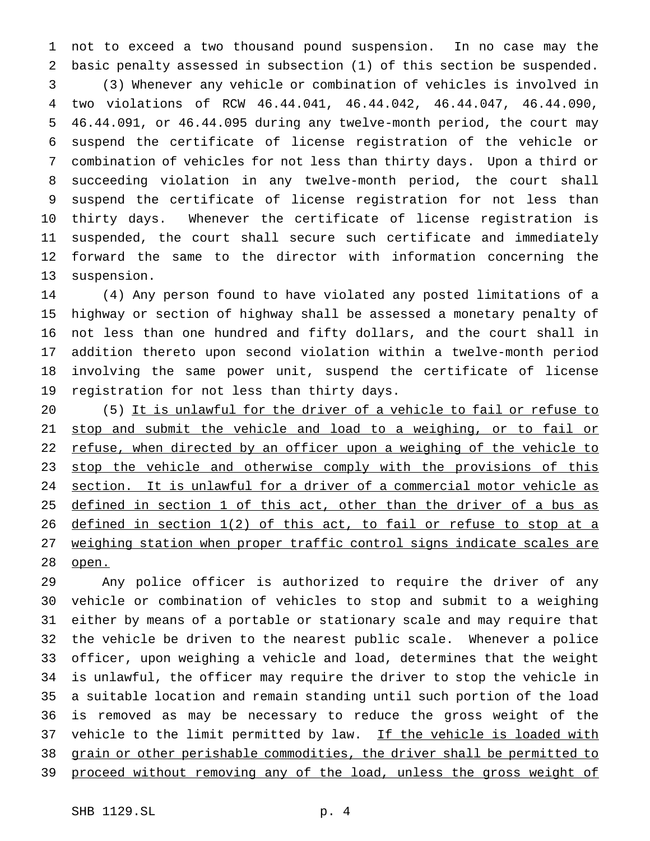not to exceed a two thousand pound suspension. In no case may the basic penalty assessed in subsection (1) of this section be suspended. (3) Whenever any vehicle or combination of vehicles is involved in two violations of RCW 46.44.041, 46.44.042, 46.44.047, 46.44.090, 46.44.091, or 46.44.095 during any twelve-month period, the court may suspend the certificate of license registration of the vehicle or combination of vehicles for not less than thirty days. Upon a third or succeeding violation in any twelve-month period, the court shall suspend the certificate of license registration for not less than thirty days. Whenever the certificate of license registration is suspended, the court shall secure such certificate and immediately forward the same to the director with information concerning the suspension.

 (4) Any person found to have violated any posted limitations of a highway or section of highway shall be assessed a monetary penalty of not less than one hundred and fifty dollars, and the court shall in addition thereto upon second violation within a twelve-month period involving the same power unit, suspend the certificate of license registration for not less than thirty days.

 (5) It is unlawful for the driver of a vehicle to fail or refuse to stop and submit the vehicle and load to a weighing, or to fail or refuse, when directed by an officer upon a weighing of the vehicle to 23 stop the vehicle and otherwise comply with the provisions of this section. It is unlawful for a driver of a commercial motor vehicle as 25 defined in section 1 of this act, other than the driver of a bus as defined in section 1(2) of this act, to fail or refuse to stop at a 27 weighing station when proper traffic control signs indicate scales are 28 open.

 Any police officer is authorized to require the driver of any vehicle or combination of vehicles to stop and submit to a weighing either by means of a portable or stationary scale and may require that the vehicle be driven to the nearest public scale. Whenever a police officer, upon weighing a vehicle and load, determines that the weight is unlawful, the officer may require the driver to stop the vehicle in a suitable location and remain standing until such portion of the load is removed as may be necessary to reduce the gross weight of the 37 vehicle to the limit permitted by law. If the vehicle is loaded with grain or other perishable commodities, the driver shall be permitted to 39 proceed without removing any of the load, unless the gross weight of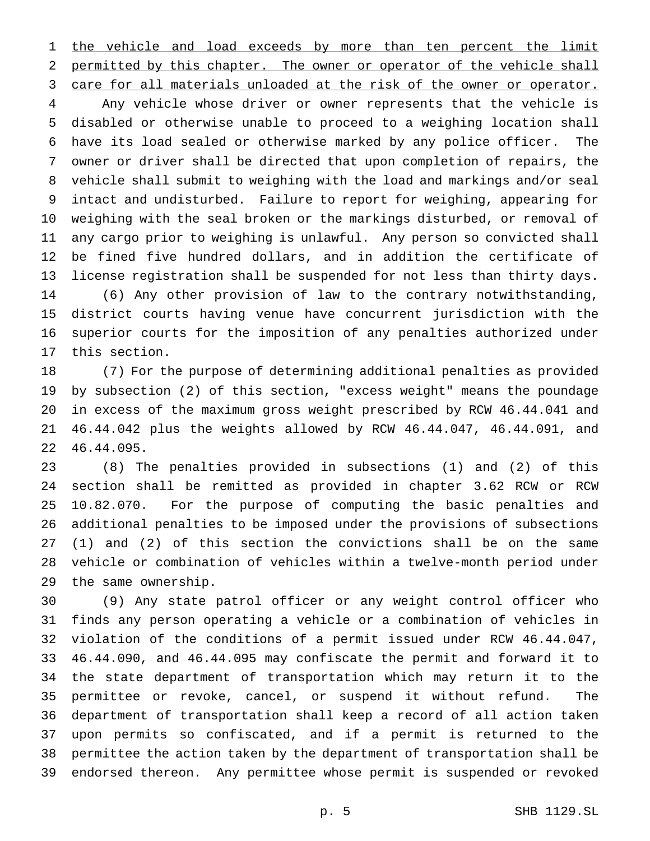1 the vehicle and load exceeds by more than ten percent the limit 2 permitted by this chapter. The owner or operator of the vehicle shall care for all materials unloaded at the risk of the owner or operator.

 Any vehicle whose driver or owner represents that the vehicle is disabled or otherwise unable to proceed to a weighing location shall have its load sealed or otherwise marked by any police officer. The owner or driver shall be directed that upon completion of repairs, the vehicle shall submit to weighing with the load and markings and/or seal intact and undisturbed. Failure to report for weighing, appearing for weighing with the seal broken or the markings disturbed, or removal of any cargo prior to weighing is unlawful. Any person so convicted shall be fined five hundred dollars, and in addition the certificate of license registration shall be suspended for not less than thirty days. (6) Any other provision of law to the contrary notwithstanding, district courts having venue have concurrent jurisdiction with the superior courts for the imposition of any penalties authorized under this section.

 (7) For the purpose of determining additional penalties as provided by subsection (2) of this section, "excess weight" means the poundage in excess of the maximum gross weight prescribed by RCW 46.44.041 and 46.44.042 plus the weights allowed by RCW 46.44.047, 46.44.091, and 46.44.095.

 (8) The penalties provided in subsections (1) and (2) of this section shall be remitted as provided in chapter 3.62 RCW or RCW 10.82.070. For the purpose of computing the basic penalties and additional penalties to be imposed under the provisions of subsections (1) and (2) of this section the convictions shall be on the same vehicle or combination of vehicles within a twelve-month period under the same ownership.

 (9) Any state patrol officer or any weight control officer who finds any person operating a vehicle or a combination of vehicles in violation of the conditions of a permit issued under RCW 46.44.047, 46.44.090, and 46.44.095 may confiscate the permit and forward it to the state department of transportation which may return it to the permittee or revoke, cancel, or suspend it without refund. The department of transportation shall keep a record of all action taken upon permits so confiscated, and if a permit is returned to the permittee the action taken by the department of transportation shall be endorsed thereon. Any permittee whose permit is suspended or revoked